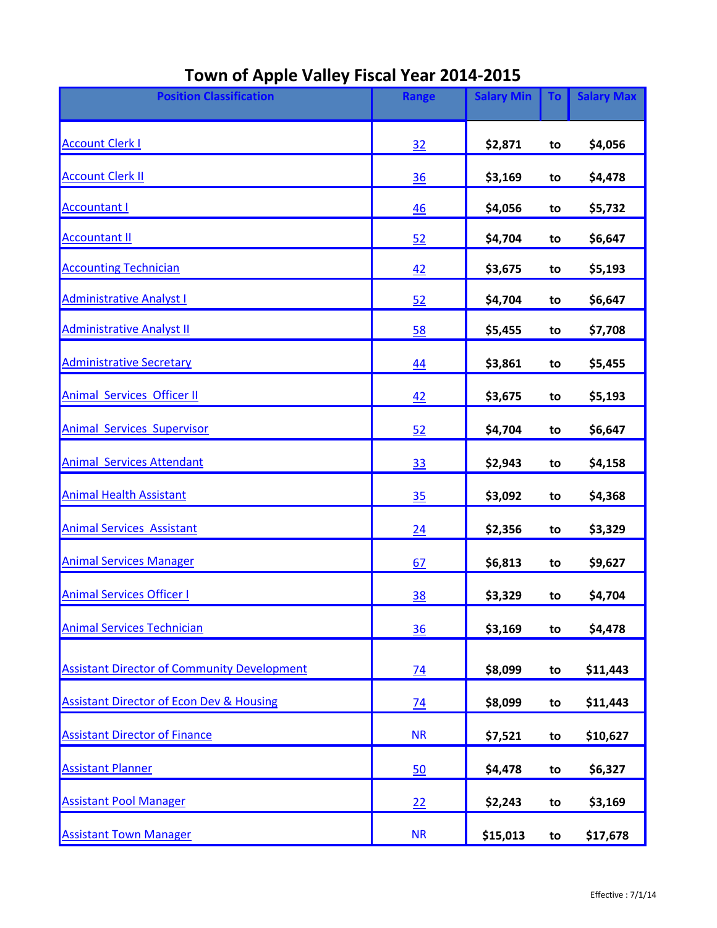| <b>Position Classification</b>                      | <b>Range</b>    | <b>Salary Min</b> | <b>To</b> | <b>Salary Max</b> |
|-----------------------------------------------------|-----------------|-------------------|-----------|-------------------|
| <b>Account Clerk I</b>                              | 32              | \$2,871           | to        | \$4,056           |
| <b>Account Clerk II</b>                             | 36              | \$3,169           | to        | \$4,478           |
| <b>Accountant I</b>                                 | 46              | \$4,056           | to        | \$5,732           |
| <b>Accountant II</b>                                | 52              | \$4,704           | to        | \$6,647           |
| <b>Accounting Technician</b>                        | 42              | \$3,675           | to        | \$5,193           |
| <b>Administrative Analyst I</b>                     | 52              | \$4,704           | to        | \$6,647           |
| <b>Administrative Analyst II</b>                    | 58              | \$5,455           | to        | \$7,708           |
| <b>Administrative Secretary</b>                     | 44              | \$3,861           | to        | \$5,455           |
| <b>Animal Services Officer II</b>                   | 42              | \$3,675           | to        | \$5,193           |
| <b>Animal Services Supervisor</b>                   | 52              | \$4,704           | to        | \$6,647           |
| <b>Animal Services Attendant</b>                    | 33              | \$2,943           | to        | \$4,158           |
| <b>Animal Health Assistant</b>                      | 35              | \$3,092           | to        | \$4,368           |
| <b>Animal Services Assistant</b>                    | 24              | \$2,356           | to        | \$3,329           |
| <b>Animal Services Manager</b>                      | 67              | \$6,813           | to        | \$9,627           |
| <b>Animal Services Officer I</b>                    | <u>38</u>       | \$3,329           | to        | \$4,704           |
| <b>Animal Services Technician</b>                   | 36              | \$3,169           | to        | \$4,478           |
| <b>Assistant Director of Community Development</b>  | 74              | \$8,099           | to        | \$11,443          |
| <b>Assistant Director of Econ Dev &amp; Housing</b> | $\overline{74}$ | \$8,099           | to        | \$11,443          |
| <b>Assistant Director of Finance</b>                | <b>NR</b>       | \$7,521           | to        | \$10,627          |
| <b>Assistant Planner</b>                            | 50              | \$4,478           | to        | \$6,327           |
| <b>Assistant Pool Manager</b>                       | 22              | \$2,243           | to        | \$3,169           |
| <b>Assistant Town Manager</b>                       | <b>NR</b>       | \$15,013          | to        | \$17,678          |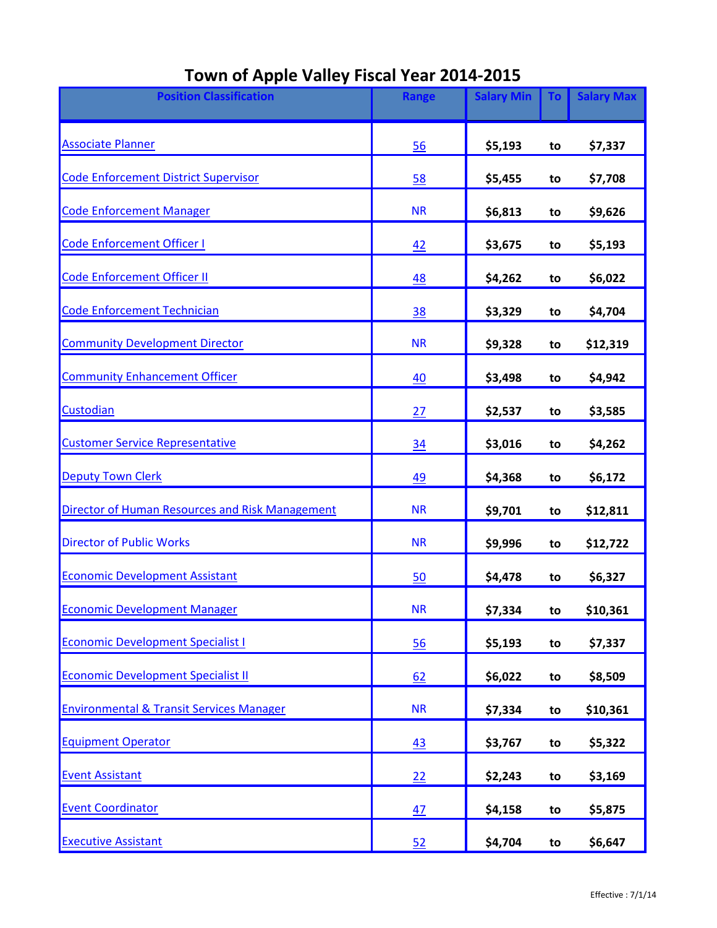| <b>Position Classification</b>                      | <b>Range</b> | <b>Salary Min</b> | To | <b>Salary Max</b> |
|-----------------------------------------------------|--------------|-------------------|----|-------------------|
| <b>Associate Planner</b>                            | 56           | \$5,193           | to | \$7,337           |
| <b>Code Enforcement District Supervisor</b>         | 58           | \$5,455           | to | \$7,708           |
| <b>Code Enforcement Manager</b>                     | <b>NR</b>    | \$6,813           | to | \$9,626           |
| <b>Code Enforcement Officer I</b>                   | 42           | \$3,675           | to | \$5,193           |
| Code Enforcement Officer II                         | <u>48</u>    | \$4,262           | to | \$6,022           |
| <b>Code Enforcement Technician</b>                  | 38           | \$3,329           | to | \$4,704           |
| <b>Community Development Director</b>               | <b>NR</b>    | \$9,328           | to | \$12,319          |
| <b>Community Enhancement Officer</b>                | 40           | \$3,498           | to | \$4,942           |
| Custodian                                           | 27           | \$2,537           | to | \$3,585           |
| <b>Customer Service Representative</b>              | 34           | \$3,016           | to | \$4,262           |
| <b>Deputy Town Clerk</b>                            | 49           | \$4,368           | to | \$6,172           |
| Director of Human Resources and Risk Management     | <b>NR</b>    | \$9,701           | to | \$12,811          |
| <b>Director of Public Works</b>                     | <b>NR</b>    | \$9,996           | to | \$12,722          |
| <b>Economic Development Assistant</b>               | 50           | \$4,478           | to | \$6,327           |
| <b>Economic Development Manager</b>                 | <b>NR</b>    | \$7,334           | to | \$10,361          |
| <b>Economic Development Specialist I</b>            | 56           | \$5,193           | to | \$7,337           |
| <b>Economic Development Specialist II</b>           | 62           | \$6,022           | to | \$8,509           |
| <b>Environmental &amp; Transit Services Manager</b> | <b>NR</b>    | \$7,334           | to | \$10,361          |
| <b>Equipment Operator</b>                           | 43           | \$3,767           | to | \$5,322           |
| <b>Event Assistant</b>                              | 22           | \$2,243           | to | \$3,169           |
| <b>Event Coordinator</b>                            | 47           | \$4,158           | to | \$5,875           |
| <b>Executive Assistant</b>                          | 52           | \$4,704           | to | \$6,647           |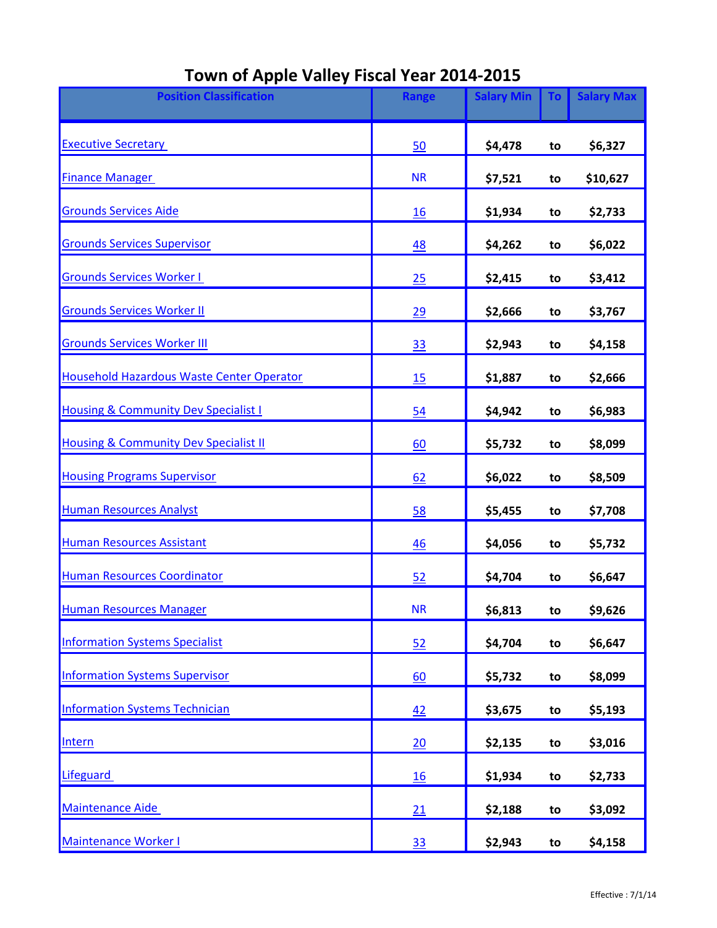| <b>Position Classification</b>                   | Range     | <b>Salary Min</b> | <b>To</b> | <b>Salary Max</b> |
|--------------------------------------------------|-----------|-------------------|-----------|-------------------|
| <b>Executive Secretary</b>                       | 50        | \$4,478           | to        | \$6,327           |
| <b>Finance Manager</b>                           | <b>NR</b> | \$7,521           | to        | \$10,627          |
| <b>Grounds Services Aide</b>                     | 16        | \$1,934           | to        | \$2,733           |
| <b>Grounds Services Supervisor</b>               | 48        | \$4,262           | to        | \$6,022           |
| <b>Grounds Services Worker I</b>                 | 25        | \$2,415           | to        | \$3,412           |
| <b>Grounds Services Worker II</b>                | 29        | \$2,666           | to        | \$3,767           |
| <b>Grounds Services Worker III</b>               | <u>33</u> | \$2,943           | to        | \$4,158           |
| <b>Household Hazardous Waste Center Operator</b> | 15        | \$1,887           | to        | \$2,666           |
| <b>Housing &amp; Community Dev Specialist I</b>  | 54        | \$4,942           | to        | \$6,983           |
| <b>Housing &amp; Community Dev Specialist II</b> | 60        | \$5,732           | to        | \$8,099           |
| <b>Housing Programs Supervisor</b>               | 62        | \$6,022           | to        | \$8,509           |
| <b>Human Resources Analyst</b>                   | 58        | \$5,455           | to        | \$7,708           |
| <b>Human Resources Assistant</b>                 | 46        | \$4,056           | to        | \$5,732           |
| <b>Human Resources Coordinator</b>               | 52        | \$4,704           | to        | \$6,647           |
| <b>Human Resources Manager</b>                   | <b>NR</b> | \$6,813           | to        | \$9,626           |
| <b>Information Systems Specialist</b>            | 52        | \$4,704           | to        | \$6,647           |
| <b>Information Systems Supervisor</b>            | 60        | \$5,732           | to        | \$8,099           |
| Information Systems Technician                   | 42        | \$3,675           | to        | \$5,193           |
| Intern                                           | 20        | \$2,135           | to        | \$3,016           |
| Lifeguard                                        | 16        | \$1,934           | to        | \$2,733           |
| <b>Maintenance Aide</b>                          | 21        | \$2,188           | to        | \$3,092           |
| Maintenance Worker I                             | <u>33</u> | \$2,943           | to        | \$4,158           |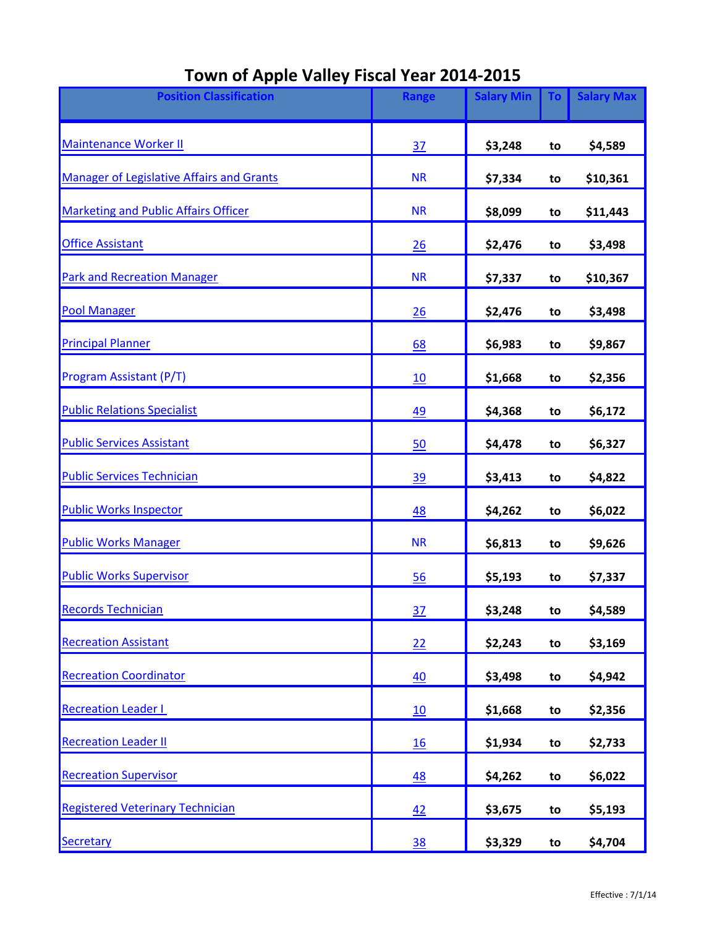| <b>Position Classification</b>                   | <b>Range</b> | <b>Salary Min</b> | <b>To</b> | <b>Salary Max</b> |
|--------------------------------------------------|--------------|-------------------|-----------|-------------------|
| Maintenance Worker II                            | 37           | \$3,248           | to        | \$4,589           |
| <b>Manager of Legislative Affairs and Grants</b> | <b>NR</b>    | \$7,334           | to        | \$10,361          |
| <b>Marketing and Public Affairs Officer</b>      | <b>NR</b>    | \$8,099           | to        | \$11,443          |
| <b>Office Assistant</b>                          | 26           | \$2,476           | to        | \$3,498           |
| <b>Park and Recreation Manager</b>               | <b>NR</b>    | \$7,337           | to        | \$10,367          |
| <b>Pool Manager</b>                              | 26           | \$2,476           | to        | \$3,498           |
| <b>Principal Planner</b>                         | 68           | \$6,983           | to        | \$9,867           |
| Program Assistant (P/T)                          | 10           | \$1,668           | to        | \$2,356           |
| <b>Public Relations Specialist</b>               | <u>49</u>    | \$4,368           | to        | \$6,172           |
| <b>Public Services Assistant</b>                 | 50           | \$4,478           | to        | \$6,327           |
| <b>Public Services Technician</b>                | <u>39</u>    | \$3,413           | to        | \$4,822           |
| <b>Public Works Inspector</b>                    | 48           | \$4,262           | to        | \$6,022           |
| <b>Public Works Manager</b>                      | <b>NR</b>    | \$6,813           | to        | \$9,626           |
| <b>Public Works Supervisor</b>                   | 56           | \$5,193           | to        | \$7,337           |
| <b>Records Technician</b>                        | 37           | \$3,248           | το        | \$4,589           |
| <b>Recreation Assistant</b>                      | 22           | \$2,243           | to        | \$3,169           |
| <b>Recreation Coordinator</b>                    | 40           | \$3,498           | to        | \$4,942           |
| <b>Recreation Leader I</b>                       | 10           | \$1,668           | to        | \$2,356           |
| <b>Recreation Leader II</b>                      | 16           | \$1,934           | to        | \$2,733           |
| <b>Recreation Supervisor</b>                     | <u>48</u>    | \$4,262           | to        | \$6,022           |
| <b>Registered Veterinary Technician</b>          | 42           | \$3,675           | to        | \$5,193           |
| Secretary                                        | <u>38</u>    | \$3,329           | to        | \$4,704           |